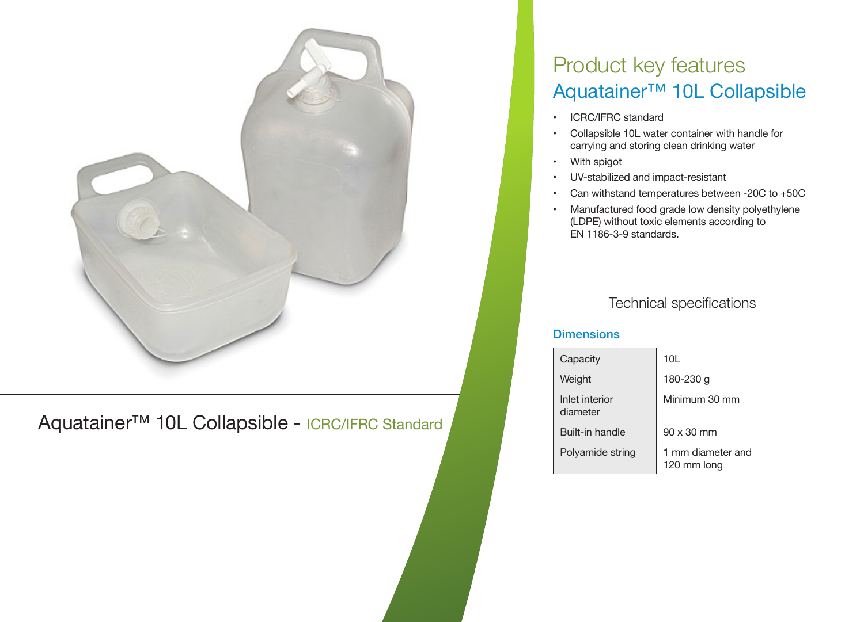

Aquatainer™ 10L Collapsible - ICRC/IFRC Standard

# Product key features Aquatainer™ 10L Collapsible

- ICRC/IFRC standard
- Collapsible 10L water container with handle for carrying and storing clean drinking water
- With spigot
- UV-stabilized and impact-resistant
- Can withstand temperatures between -20C to  $+50C$
- Manufactured food grade low density polyethylene (LDPE) without toxic elements according to EN 1186-3-9 standards.

# Technical specifications

#### **Dimensions**

| Capacity                   | 10L                              |
|----------------------------|----------------------------------|
| Weight                     | 180-230 g                        |
| Inlet interior<br>diameter | Minimum 30 mm                    |
| Built-in handle            | $90 \times 30$ mm                |
| Polyamide string           | 1 mm diameter and<br>120 mm long |